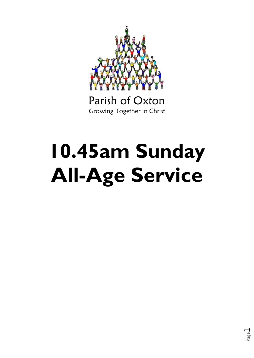

Parish of Oxton Growing Together in Christ

# **10.45am Sunday All-Age Service**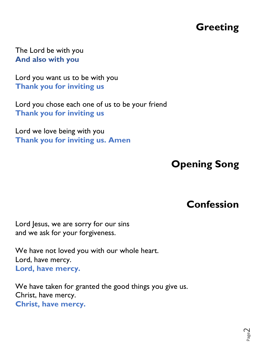# **Greeting**

The Lord be with you **And also with you**

Lord you want us to be with you **Thank you for inviting us**

Lord you chose each one of us to be your friend **Thank you for inviting us**

Lord we love being with you **Thank you for inviting us. Amen**

# **Opening Song**

### **Confession**

Page  $\overline{\curvearrowright}$ 

Lord Jesus, we are sorry for our sins and we ask for your forgiveness.

We have not loved you with our whole heart. Lord, have mercy. **Lord, have mercy.**

We have taken for granted the good things you give us. Christ, have mercy. **Christ, have mercy.**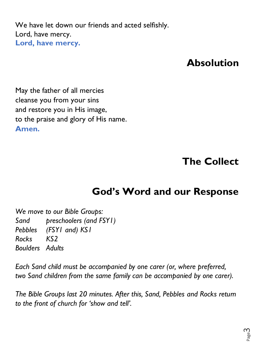We have let down our friends and acted selfishly. Lord, have mercy. **Lord, have mercy.** 

#### **Absolution**

May the father of all mercies cleanse you from your sins and restore you in His image, to the praise and glory of His name. **Amen.**

**The Collect**

### **God's Word and our Response**

*We move to our Bible Groups: Sand preschoolers (and FSY1) Pebbles (FSY1 and) KS1 Rocks KS2 Boulders Adults*

*Each Sand child must be accompanied by one carer (or, where preferred, two Sand children from the same family can be accompanied by one carer).*

*The Bible Groups last 20 minutes. After this, Sand, Pebbles and Rocks return to the front of church for 'show and tell'.*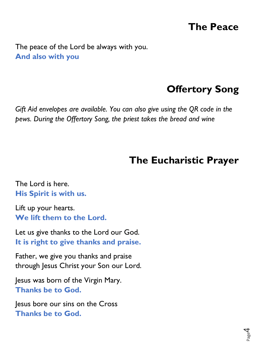## **The Peace**

The peace of the Lord be always with you. **And also with you**

### **Offertory Song**

*Gift Aid envelopes are available. You can also give using the QR code in the pews. During the Offertory Song, the priest takes the bread and wine*

## **The Eucharistic Prayer**

The Lord is here. **His Spirit is with us.**

Lift up your hearts. **We lift them to the Lord.**

Let us give thanks to the Lord our God. **It is right to give thanks and praise.**

Father, we give you thanks and praise through Jesus Christ your Son our Lord.

Jesus was born of the Virgin Mary. **Thanks be to God.**

Jesus bore our sins on the Cross **Thanks be to God.**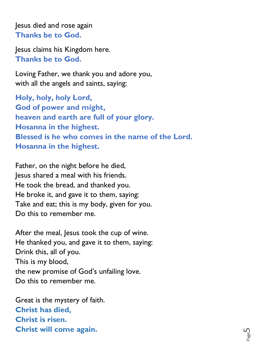Jesus died and rose again **Thanks be to God.**

Jesus claims his Kingdom here. **Thanks be to God.**

Loving Father, we thank you and adore you, with all the angels and saints, saying:

**Holy, holy, holy Lord, God of power and might, heaven and earth are full of your glory. Hosanna in the highest. Blessed is he who comes in the name of the Lord. Hosanna in the highest.**

Father, on the night before he died, Jesus shared a meal with his friends. He took the bread, and thanked you. He broke it, and gave it to them, saying: Take and eat; this is my body, given for you. Do this to remember me.

After the meal, Jesus took the cup of wine. He thanked you, and gave it to them, saying: Drink this, all of you. This is my blood, the new promise of God's unfailing love. Do this to remember me.

Great is the mystery of faith. **Christ has died, Christ is risen. Christ will come again.**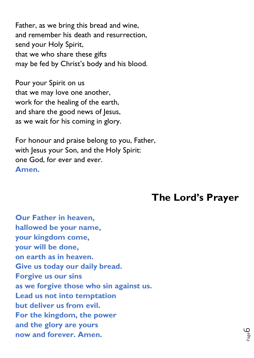Father, as we bring this bread and wine, and remember his death and resurrection, send your Holy Spirit, that we who share these gifts may be fed by Christ's body and his blood.

Pour your Spirit on us that we may love one another, work for the healing of the earth, and share the good news of Jesus, as we wait for his coming in glory.

For honour and praise belong to you, Father, with Jesus your Son, and the Holy Spirit: one God, for ever and ever. **Amen.**

#### **The Lord's Prayer**

**Our Father in heaven, hallowed be your name, your kingdom come, your will be done, on earth as in heaven. Give us today our daily bread. Forgive us our sins as we forgive those who sin against us. Lead us not into temptation but deliver us from evil. For the kingdom, the power and the glory are yours now and forever. Amen.**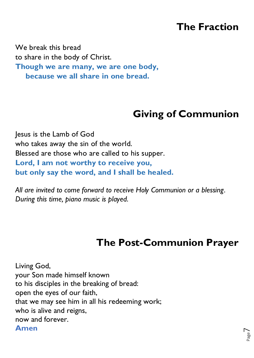## **The Fraction**

We break this bread to share in the body of Christ. **Though we are many, we are one body, because we all share in one bread.**

# **Giving of Communion**

Jesus is the Lamb of God who takes away the sin of the world. Blessed are those who are called to his supper. **Lord, I am not worthy to receive you, but only say the word, and I shall be healed.**

*All are invited to come forward to receive Holy Communion or a blessing. During this time, piano music is played.*

# **The Post-Communion Prayer**

Page  $\overline{\phantom{1}}$ 

Living God, your Son made himself known to his disciples in the breaking of bread: open the eyes of our faith, that we may see him in all his redeeming work; who is alive and reigns, now and forever. **Amen**